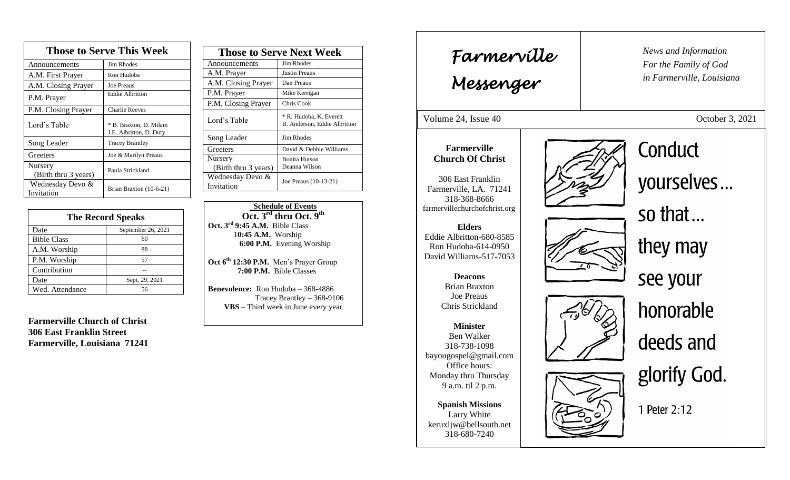| <b>Those to Serve This Week</b> |                                                   |  |
|---------------------------------|---------------------------------------------------|--|
| Announcements                   | <b>Jim Rhodes</b>                                 |  |
| A.M. First Prayer               | Ron Hudoba                                        |  |
| A.M. Closing Prayer             | <b>Joe Preaus</b>                                 |  |
| P.M. Prayer                     | <b>Eddie Albritton</b>                            |  |
| P.M. Closing Prayer             | <b>Charlie Reeves</b>                             |  |
| Lord's Table                    | * B. Braxton, D. Milam<br>J.E. Albritton, D. Duty |  |
| Song Leader                     | <b>Tracey Brantley</b>                            |  |
| Greeters                        | Joe & Marilyn Preaus                              |  |
| Nursery<br>(Birth thru 3 years) | Paula Strickland                                  |  |
| Wednesday Devo &<br>Invitation  | Brian Braxton (10-6-21)                           |  |

| <b>The Record Speaks</b> |                    |
|--------------------------|--------------------|
| Date                     | September 26, 2021 |
| <b>Bible Class</b>       | 60                 |
| A.M. Worship             | 88                 |
| P.M. Worship             | 57                 |
| Contribution             |                    |
| Date                     | Sept. 29, 2021     |
| Wed. Attendance          | 56                 |

**Farmerville Church of Christ 306 East Franklin Street Farmerville, Louisiana 71241**

| <b>Those to Serve Next Week</b> |                                                         |
|---------------------------------|---------------------------------------------------------|
| Announcements                   | <b>Jim Rhodes</b>                                       |
| A.M. Prayer                     | Justin Preaus                                           |
| A.M. Closing Prayer             | Dan Preaus                                              |
| P.M. Prayer                     | Mike Kerrigan                                           |
| P.M. Closing Prayer             | Chris Cook                                              |
| Lord's Table                    | * R. Hudoba, K. Everett<br>B. Anderson, Eddie Albritton |
| Song Leader                     | <b>Jim Rhodes</b>                                       |
| Greeters                        | David & Debbie Williams                                 |
| Nursery<br>(Birth thru 3 years) | <b>Bonita Hutson</b><br>Deanna Wilson                   |
| Wednesday Devo &<br>Invitation  | Joe Preaus (10-13-21)                                   |
|                                 |                                                         |

 **Schedule of Events Oct. 3rd thru Oct. 9 th Oct. 3rd 9:45 A.M.** Bible Class 1**0:45 A.M.** Worship  **6:00 P.M.** Evening Worship

**Oct 6th 12:30 P.M.** Men's Prayer Group **7:00 P.M.** Bible Classes

**Benevolence:** Ron Hudoba – 368-4886 Tracey Brantley – 368-9106 **VBS** – Third week in June every year

*News and Information* **Farmerville**  $\begin{bmatrix} \text{News an} \\ \text{For the} \end{bmatrix}$ *For the Family of God in Farmerville, Louisiana Messenger*  Volume 24, Issue 40 October 3, 2021 , 2015 Conduct **Farmerville Church Of Christ** yourselves... 306 East Franklin Farmerville, LA. 71241 318-368-8666 farmervillechurchofchrist.org so that... **Elders** Eddie Albritton-680-8585 they may Ron Hudoba-614-0950 David Williams-517-7053 see your **Deacons**  Brian Braxton Joe Preaus honorable Chris Strickland **Minister** Ben Walker deeds and 318-738-1098 bayougospel@gmail.com Office hours: glorify God. Monday thru Thursday 9 a.m. til 2 p.m. **Spanish Missions** 1 Peter 2:12 Larry White keruxljw@bellsouth.net 318-680-7240